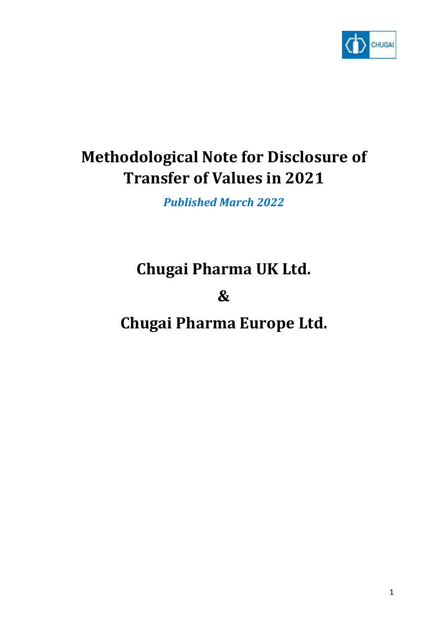

# **Methodological Note for Disclosure of Transfer of Values in 2021**

*Published March 2022*

## **Chugai Pharma UK Ltd.**

**&**

**Chugai Pharma Europe Ltd.**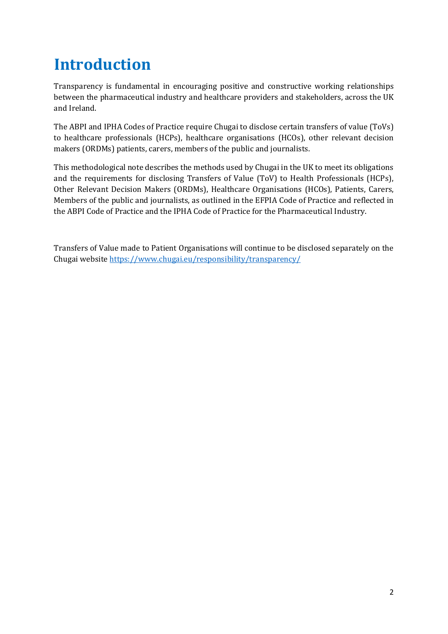# **Introduction**

Transparency is fundamental in encouraging positive and constructive working relationships between the pharmaceutical industry and healthcare providers and stakeholders, across the UK and Ireland.

The ABPI and IPHA Codes of Practice require Chugai to disclose certain transfers of value (ToVs) to healthcare professionals (HCPs), healthcare organisations (HCOs), other relevant decision makers (ORDMs) patients, carers, members of the public and journalists.

This methodological note describes the methods used by Chugai in the UK to meet its obligations and the requirements for disclosing Transfers of Value (ToV) to Health Professionals (HCPs), Other Relevant Decision Makers (ORDMs), Healthcare Organisations (HCOs), Patients, Carers, Members of the public and journalists, as outlined in the EFPIA Code of Practice and reflected in the ABPI Code of Practice and the IPHA Code of Practice for the Pharmaceutical Industry.

Transfers of Value made to Patient Organisations will continue to be disclosed separately on the Chugai websit[e https://www.chugai.eu/responsibility/transparency/](https://www.chugai.eu/responsibility/transparency/)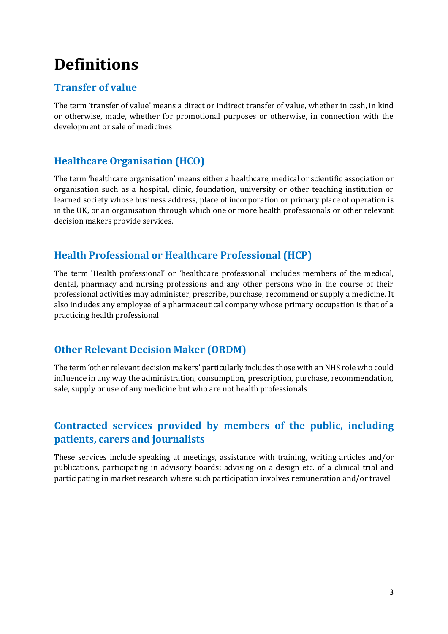## **Definitions**

#### **Transfer of value**

The term 'transfer of value' means a direct or indirect transfer of value, whether in cash, in kind or otherwise, made, whether for promotional purposes or otherwise, in connection with the development or sale of medicines

### **Healthcare Organisation (HCO)**

The term 'healthcare organisation' means either a healthcare, medical or scientific association or organisation such as a hospital, clinic, foundation, university or other teaching institution or learned society whose business address, place of incorporation or primary place of operation is in the UK, or an organisation through which one or more health professionals or other relevant decision makers provide services.

### **Health Professional or Healthcare Professional (HCP)**

The term 'Health professional' or 'healthcare professional' includes members of the medical, dental, pharmacy and nursing professions and any other persons who in the course of their professional activities may administer, prescribe, purchase, recommend or supply a medicine. It also includes any employee of a pharmaceutical company whose primary occupation is that of a practicing health professional.

#### **Other Relevant Decision Maker (ORDM)**

The term 'other relevant decision makers' particularly includes those with an NHS role who could influence in any way the administration, consumption, prescription, purchase, recommendation, sale, supply or use of any medicine but who are not health professionals.

## **Contracted services provided by members of the public, including patients, carers and journalists**

These services include speaking at meetings, assistance with training, writing articles and/or publications, participating in advisory boards; advising on a design etc. of a clinical trial and participating in market research where such participation involves remuneration and/or travel.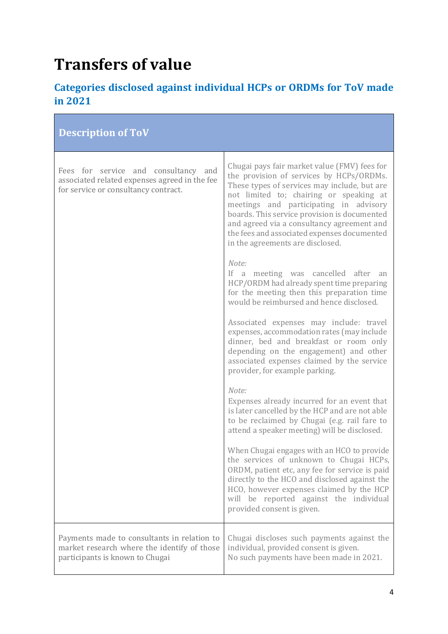# **Transfers of value**

## **Categories disclosed against individual HCPs or ORDMs for ToV made in 2021**

| <b>Description of ToV</b>                                                                                                     |                                                                                                                                                                                                                                                                                                                                                                                                                |
|-------------------------------------------------------------------------------------------------------------------------------|----------------------------------------------------------------------------------------------------------------------------------------------------------------------------------------------------------------------------------------------------------------------------------------------------------------------------------------------------------------------------------------------------------------|
| Fees for service and consultancy and<br>associated related expenses agreed in the fee<br>for service or consultancy contract. | Chugai pays fair market value (FMV) fees for<br>the provision of services by HCPs/ORDMs.<br>These types of services may include, but are<br>not limited to; chairing or speaking at<br>meetings and participating in advisory<br>boards. This service provision is documented<br>and agreed via a consultancy agreement and<br>the fees and associated expenses documented<br>in the agreements are disclosed. |
|                                                                                                                               | Note:<br>If a meeting was cancelled after<br>an<br>HCP/ORDM had already spent time preparing<br>for the meeting then this preparation time<br>would be reimbursed and hence disclosed.                                                                                                                                                                                                                         |
|                                                                                                                               | Associated expenses may include: travel<br>expenses, accommodation rates (may include<br>dinner, bed and breakfast or room only<br>depending on the engagement) and other<br>associated expenses claimed by the service<br>provider, for example parking.                                                                                                                                                      |
|                                                                                                                               | Note:<br>Expenses already incurred for an event that<br>is later cancelled by the HCP and are not able<br>to be reclaimed by Chugai (e.g. rail fare to<br>attend a speaker meeting) will be disclosed.                                                                                                                                                                                                         |
|                                                                                                                               | When Chugai engages with an HCO to provide<br>the services of unknown to Chugai HCPs,<br>ORDM, patient etc, any fee for service is paid<br>directly to the HCO and disclosed against the<br>HCO, however expenses claimed by the HCP<br>will be reported against the individual<br>provided consent is given.                                                                                                  |
| Payments made to consultants in relation to<br>market research where the identify of those<br>participants is known to Chugai | Chugai discloses such payments against the<br>individual, provided consent is given.<br>No such payments have been made in 2021.                                                                                                                                                                                                                                                                               |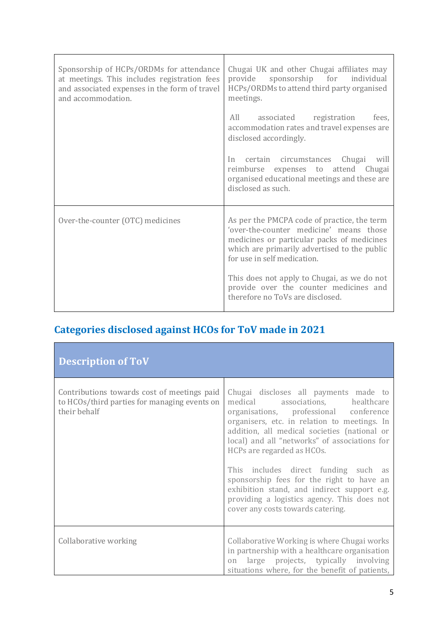| Sponsorship of HCPs/ORDMs for attendance<br>at meetings. This includes registration fees<br>and associated expenses in the form of travel<br>and accommodation. | Chugai UK and other Chugai affiliates may<br>sponsorship for<br>individual<br>provide<br>HCPs/ORDMs to attend third party organised<br>meetings.                                                                    |
|-----------------------------------------------------------------------------------------------------------------------------------------------------------------|---------------------------------------------------------------------------------------------------------------------------------------------------------------------------------------------------------------------|
|                                                                                                                                                                 | All associated registration<br>fees.<br>accommodation rates and travel expenses are<br>disclosed accordingly.                                                                                                       |
|                                                                                                                                                                 | In certain circumstances Chugai will<br>reimburse expenses to attend Chugai<br>organised educational meetings and these are<br>disclosed as such.                                                                   |
| Over-the-counter (OTC) medicines                                                                                                                                | As per the PMCPA code of practice, the term<br>'over-the-counter medicine' means those<br>medicines or particular packs of medicines<br>which are primarily advertised to the public<br>for use in self medication. |
|                                                                                                                                                                 | This does not apply to Chugai, as we do not<br>provide over the counter medicines and<br>therefore no ToVs are disclosed.                                                                                           |

## **Categories disclosed against HCOs for ToV made in 2021**

| <b>Description of ToV</b>                                                                                   |                                                                                                                                                                                                                                                                                                                                                                                         |
|-------------------------------------------------------------------------------------------------------------|-----------------------------------------------------------------------------------------------------------------------------------------------------------------------------------------------------------------------------------------------------------------------------------------------------------------------------------------------------------------------------------------|
| Contributions towards cost of meetings paid<br>to HCOs/third parties for managing events on<br>their behalf | Chugai discloses all payments made to<br>medical associations, healthcare<br>organisations, professional conference<br>organisers, etc. in relation to meetings. In<br>addition, all medical societies (national or<br>local) and all "networks" of associations for<br>HCPs are regarded as HCOs.<br>This includes direct funding such as<br>sponsorship fees for the right to have an |
|                                                                                                             | exhibition stand, and indirect support e.g.<br>providing a logistics agency. This does not<br>cover any costs towards catering.                                                                                                                                                                                                                                                         |
| Collaborative working                                                                                       | Collaborative Working is where Chugai works<br>in partnership with a healthcare organisation<br>large projects, typically involving<br>on<br>situations where, for the benefit of patients,                                                                                                                                                                                             |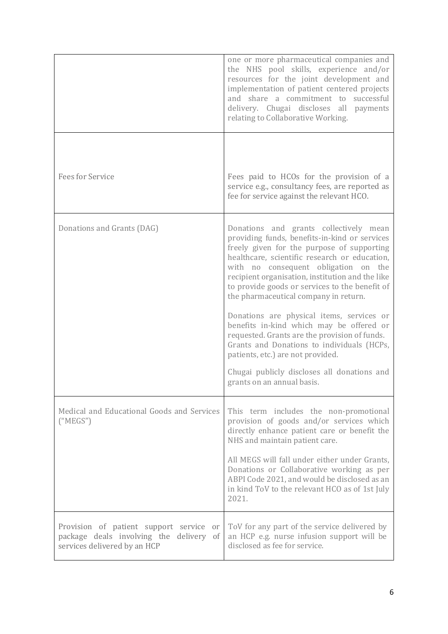|                                                                                                                    | one or more pharmaceutical companies and<br>the NHS pool skills, experience and/or<br>resources for the joint development and<br>implementation of patient centered projects<br>and share a commitment to successful<br>delivery. Chugai discloses all payments<br>relating to Collaborative Working.                                                                         |
|--------------------------------------------------------------------------------------------------------------------|-------------------------------------------------------------------------------------------------------------------------------------------------------------------------------------------------------------------------------------------------------------------------------------------------------------------------------------------------------------------------------|
| <b>Fees for Service</b>                                                                                            | Fees paid to HCOs for the provision of a<br>service e.g., consultancy fees, are reported as<br>fee for service against the relevant HCO.                                                                                                                                                                                                                                      |
| Donations and Grants (DAG)                                                                                         | Donations and grants collectively mean<br>providing funds, benefits-in-kind or services<br>freely given for the purpose of supporting<br>healthcare, scientific research or education,<br>with no consequent obligation on the<br>recipient organisation, institution and the like<br>to provide goods or services to the benefit of<br>the pharmaceutical company in return. |
|                                                                                                                    | Donations are physical items, services or<br>benefits in-kind which may be offered or<br>requested. Grants are the provision of funds.<br>Grants and Donations to individuals (HCPs,<br>patients, etc.) are not provided.<br>Chugai publicly discloses all donations and<br>grants on an annual basis.                                                                        |
| Medical and Educational Goods and Services<br>("MEGS")                                                             | This term includes the non-promotional<br>provision of goods and/or services which<br>directly enhance patient care or benefit the<br>NHS and maintain patient care.<br>All MEGS will fall under either under Grants,<br>Donations or Collaborative working as per<br>ABPI Code 2021, and would be disclosed as an<br>in kind ToV to the relevant HCO as of 1st July<br>2021. |
| Provision of patient support service or<br>package deals involving the delivery of<br>services delivered by an HCP | ToV for any part of the service delivered by<br>an HCP e.g. nurse infusion support will be<br>disclosed as fee for service.                                                                                                                                                                                                                                                   |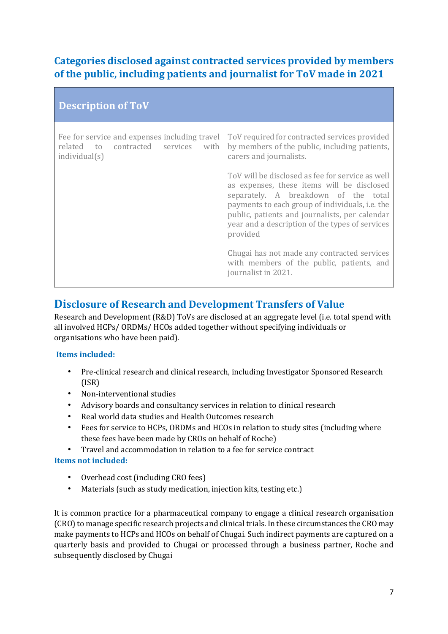## **Categories disclosed against contracted services provided by members of the public, including patients and journalist for ToV made in 2021**

| <b>Description of ToV</b>                                                                                      |                                                                                                                                                                                                                                                                                                                   |  |
|----------------------------------------------------------------------------------------------------------------|-------------------------------------------------------------------------------------------------------------------------------------------------------------------------------------------------------------------------------------------------------------------------------------------------------------------|--|
| Fee for service and expenses including travel<br>related to<br>contracted<br>services<br>with<br>individual(s) | ToV required for contracted services provided<br>by members of the public, including patients,<br>carers and journalists.                                                                                                                                                                                         |  |
|                                                                                                                | ToV will be disclosed as fee for service as well<br>as expenses, these items will be disclosed<br>separately. A breakdown of the total<br>payments to each group of individuals, <i>i.e.</i> the<br>public, patients and journalists, per calendar<br>year and a description of the types of services<br>provided |  |
|                                                                                                                | Chugai has not made any contracted services<br>with members of the public, patients, and<br>journalist in 2021.                                                                                                                                                                                                   |  |

## **Disclosure of Research and Development Transfers of Value**

Research and Development (R&D) ToVs are disclosed at an aggregate level (i.e. total spend with all involved HCPs/ ORDMs/ HCOs added together without specifying individuals or organisations who have been paid).

#### **Items included:**

- Pre-clinical research and clinical research, including Investigator Sponsored Research (ISR)
- Non-interventional studies
- Advisory boards and consultancy services in relation to clinical research
- Real world data studies and Health Outcomes research
- Fees for service to HCPs, ORDMs and HCOs in relation to study sites (including where these fees have been made by CROs on behalf of Roche)
- Travel and accommodation in relation to a fee for service contract

#### **Items not included:**

- Overhead cost (including CRO fees)
- Materials (such as study medication, injection kits, testing etc.)

It is common practice for a pharmaceutical company to engage a clinical research organisation (CRO) to manage specific research projects and clinical trials. In these circumstances the CRO may make payments to HCPs and HCOs on behalf of Chugai. Such indirect payments are captured on a quarterly basis and provided to Chugai or processed through a business partner, Roche and subsequently disclosed by Chugai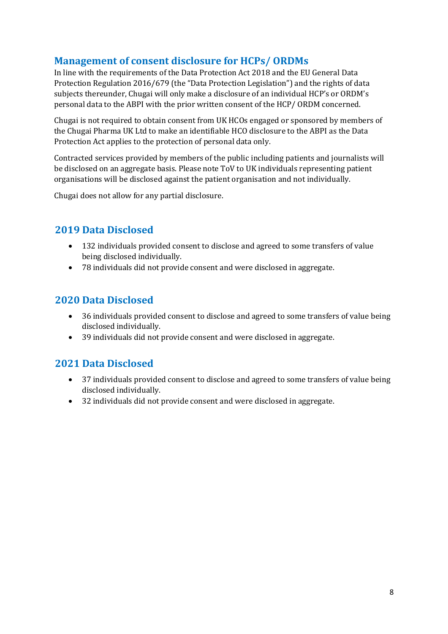## **Management of consent disclosure for HCPs/ ORDMs**

In line with the requirements of the Data Protection Act 2018 and the EU General Data Protection Regulation 2016/679 (the "Data Protection Legislation") and the rights of data subjects thereunder, Chugai will only make a disclosure of an individual HCP's or ORDM's personal data to the ABPI with the prior written consent of the HCP/ ORDM concerned.

Chugai is not required to obtain consent from UK HCOs engaged or sponsored by members of the Chugai Pharma UK Ltd to make an identifiable HCO disclosure to the ABPI as the Data Protection Act applies to the protection of personal data only.

Contracted services provided by members of the public including patients and journalists will be disclosed on an aggregate basis. Please note ToV to UK individuals representing patient organisations will be disclosed against the patient organisation and not individually.

Chugai does not allow for any partial disclosure.

#### **2019 Data Disclosed**

- 132 individuals provided consent to disclose and agreed to some transfers of value being disclosed individually.
- 78 individuals did not provide consent and were disclosed in aggregate.

#### **2020 Data Disclosed**

- 36 individuals provided consent to disclose and agreed to some transfers of value being disclosed individually.
- 39 individuals did not provide consent and were disclosed in aggregate.

#### **2021 Data Disclosed**

- 37 individuals provided consent to disclose and agreed to some transfers of value being disclosed individually.
- 32 individuals did not provide consent and were disclosed in aggregate.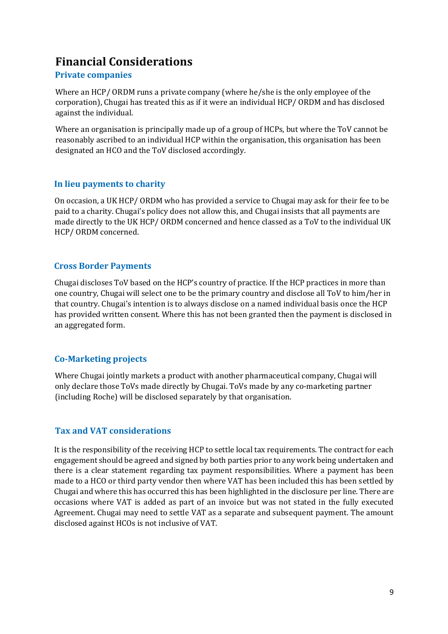## **Financial Considerations**

#### **Private companies**

Where an HCP/ ORDM runs a private company (where he/she is the only employee of the corporation), Chugai has treated this as if it were an individual HCP/ ORDM and has disclosed against the individual.

Where an organisation is principally made up of a group of HCPs, but where the ToV cannot be reasonably ascribed to an individual HCP within the organisation, this organisation has been designated an HCO and the ToV disclosed accordingly.

#### **In lieu payments to charity**

On occasion, a UK HCP/ ORDM who has provided a service to Chugai may ask for their fee to be paid to a charity. Chugai's policy does not allow this, and Chugai insists that all payments are made directly to the UK HCP/ ORDM concerned and hence classed as a ToV to the individual UK HCP/ ORDM concerned.

#### **Cross Border Payments**

Chugai discloses ToV based on the HCP's country of practice. If the HCP practices in more than one country, Chugai will select one to be the primary country and disclose all ToV to him/her in that country. Chugai's intention is to always disclose on a named individual basis once the HCP has provided written consent. Where this has not been granted then the payment is disclosed in an aggregated form.

#### **Co-Marketing projects**

Where Chugai jointly markets a product with another pharmaceutical company, Chugai will only declare those ToVs made directly by Chugai. ToVs made by any co-marketing partner (including Roche) will be disclosed separately by that organisation.

#### **Tax and VAT considerations**

It is the responsibility of the receiving HCP to settle local tax requirements. The contract for each engagement should be agreed and signed by both parties prior to any work being undertaken and there is a clear statement regarding tax payment responsibilities. Where a payment has been made to a HCO or third party vendor then where VAT has been included this has been settled by Chugai and where this has occurred this has been highlighted in the disclosure per line. There are occasions where VAT is added as part of an invoice but was not stated in the fully executed Agreement. Chugai may need to settle VAT as a separate and subsequent payment. The amount disclosed against HCOs is not inclusive of VAT.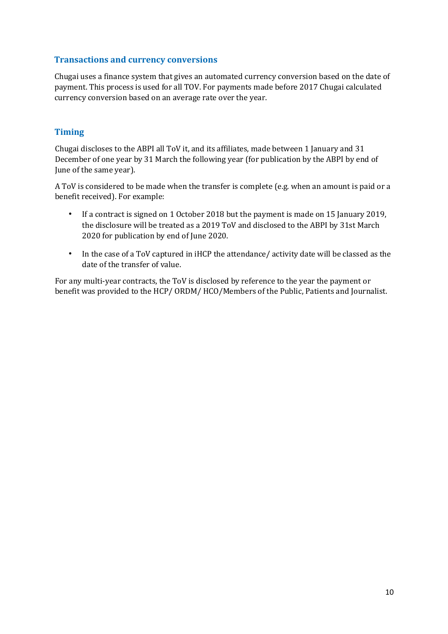#### **Transactions and currency conversions**

Chugai uses a finance system that gives an automated currency conversion based on the date of payment. This process is used for all TOV. For payments made before 2017 Chugai calculated currency conversion based on an average rate over the year.

#### **Timing**

Chugai discloses to the ABPI all ToV it, and its affiliates, made between 1 January and 31 December of one year by 31 March the following year (for publication by the ABPI by end of June of the same year).

A ToV is considered to be made when the transfer is complete (e.g. when an amount is paid or a benefit received). For example:

- If a contract is signed on 1 October 2018 but the payment is made on 15 January 2019, the disclosure will be treated as a 2019 ToV and disclosed to the ABPI by 31st March 2020 for publication by end of June 2020.
- In the case of a ToV captured in iHCP the attendance/ activity date will be classed as the date of the transfer of value.

For any multi-year contracts, the ToV is disclosed by reference to the year the payment or benefit was provided to the HCP/ ORDM/ HCO/Members of the Public, Patients and Journalist.